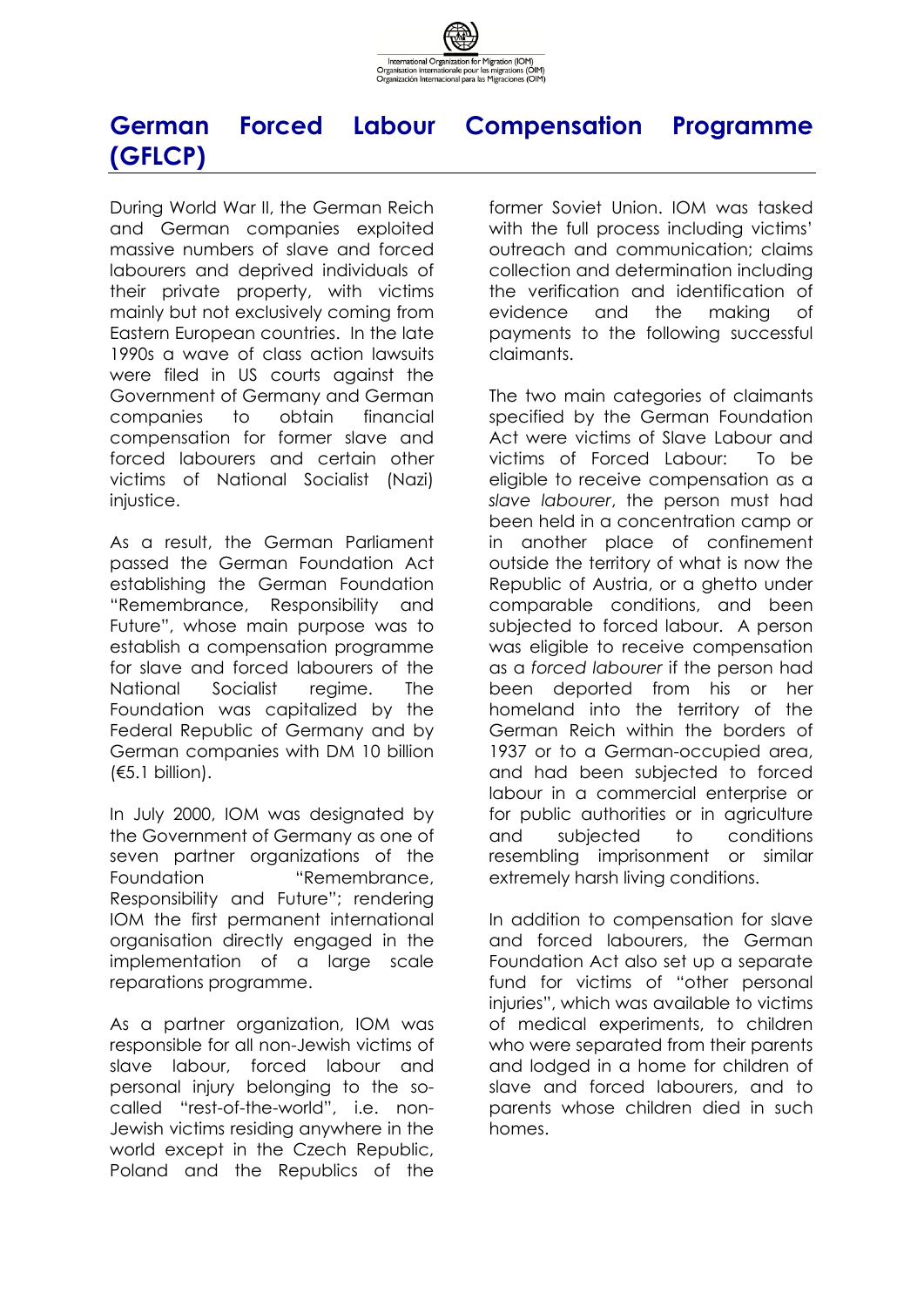

## **German Forced Labour Compensation Programme (GFLCP)**

During World War II, the German Reich and German companies exploited massive numbers of slave and forced labourers and deprived individuals of their private property, with victims mainly but not exclusively coming from Eastern European countries. In the late 1990s a wave of class action lawsuits were filed in US courts against the Government of Germany and German companies to obtain financial compensation for former slave and forced labourers and certain other victims of National Socialist (Nazi) injustice.

As a result, the German Parliament passed the German Foundation Act establishing the German Foundation "Remembrance, Responsibility and Future", whose main purpose was to establish a compensation programme for slave and forced labourers of the National Socialist regime. The Foundation was capitalized by the Federal Republic of Germany and by German companies with DM 10 billion (€5.1 billion).

In July 2000, IOM was designated by the Government of Germany as one of seven partner organizations of the Foundation "Remembrance, Responsibility and Future"; rendering IOM the first permanent international organisation directly engaged in the implementation of a large scale reparations programme.

As a partner organization, IOM was responsible for all non-Jewish victims of slave labour, forced labour and personal injury belonging to the socalled "rest-of-the-world", i.e. non-Jewish victims residing anywhere in the world except in the Czech Republic, Poland and the Republics of the

former Soviet Union. IOM was tasked with the full process including victims' outreach and communication; claims collection and determination including the verification and identification of evidence and the making of payments to the following successful claimants.

The two main categories of claimants specified by the German Foundation Act were victims of Slave Labour and victims of Forced Labour: To be eligible to receive compensation as a *slave labourer*, the person must had been held in a concentration camp or in another place of confinement outside the territory of what is now the Republic of Austria, or a ghetto under comparable conditions, and been subjected to forced labour. A person was eligible to receive compensation as a *forced labourer* if the person had been deported from his or her homeland into the territory of the German Reich within the borders of 1937 or to a German-occupied area, and had been subjected to forced labour in a commercial enterprise or for public authorities or in agriculture and subjected to conditions resembling imprisonment or similar extremely harsh living conditions.

In addition to compensation for slave and forced labourers, the German Foundation Act also set up a separate fund for victims of "other personal injuries", which was available to victims of medical experiments, to children who were separated from their parents and lodged in a home for children of slave and forced labourers, and to parents whose children died in such homes.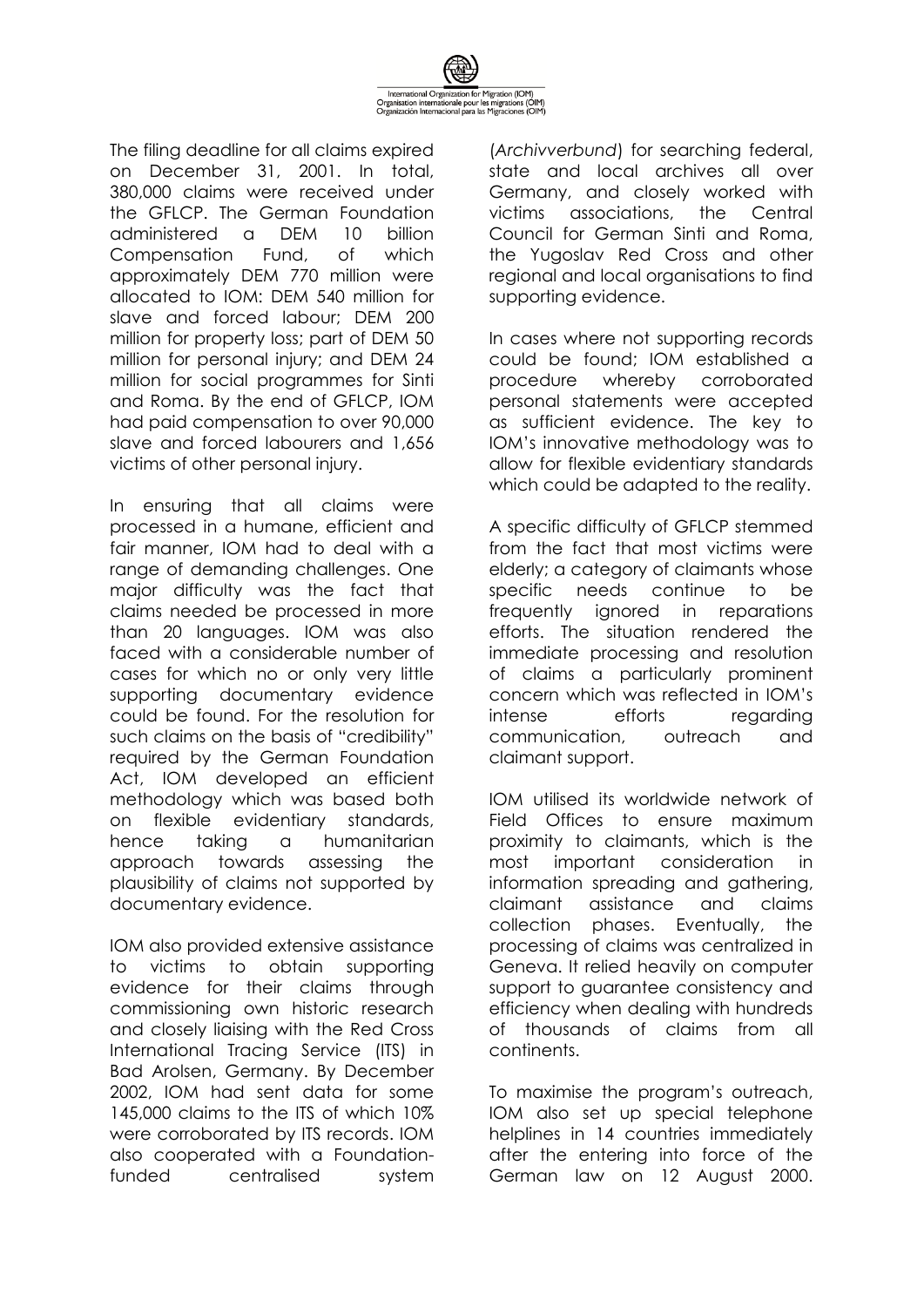

The filing deadline for all claims expired on December 31, 2001. In total, 380,000 claims were received under the GFLCP. The German Foundation administered a DEM 10 billion Compensation Fund, of which approximately DEM 770 million were allocated to IOM: DEM 540 million for slave and forced labour; DEM 200 million for property loss; part of DEM 50 million for personal injury; and DEM 24 million for social programmes for Sinti and Roma. By the end of GFLCP, IOM had paid compensation to over 90,000 slave and forced labourers and 1,656 victims of other personal injury.

In ensuring that all claims were processed in a humane, efficient and fair manner, IOM had to deal with a range of demanding challenges. One major difficulty was the fact that claims needed be processed in more than 20 languages. IOM was also faced with a considerable number of cases for which no or only very little supporting documentary evidence could be found. For the resolution for such claims on the basis of "credibility" required by the German Foundation Act, IOM developed an efficient methodology which was based both on flexible evidentiary standards, hence taking a humanitarian approach towards assessing the plausibility of claims not supported by documentary evidence.

IOM also provided extensive assistance to victims to obtain supporting evidence for their claims through commissioning own historic research and closely liaising with the Red Cross International Tracing Service (ITS) in Bad Arolsen, Germany. By December 2002, IOM had sent data for some 145,000 claims to the ITS of which 10% were corroborated by ITS records. IOM also cooperated with a Foundationfunded centralised system

(*Archivverbund*) for searching federal, state and local archives all over Germany, and closely worked with victims associations, the Central Council for German Sinti and Roma, the Yugoslav Red Cross and other regional and local organisations to find supporting evidence.

In cases where not supporting records could be found; IOM established a procedure whereby corroborated personal statements were accepted as sufficient evidence. The key to IOM's innovative methodology was to allow for flexible evidentiary standards which could be adapted to the reality.

A specific difficulty of GFLCP stemmed from the fact that most victims were elderly; a category of claimants whose specific needs continue to be frequently ignored in reparations efforts. The situation rendered the immediate processing and resolution of claims a particularly prominent concern which was reflected in IOM's intense efforts regarding communication, outreach and claimant support.

IOM utilised its worldwide network of Field Offices to ensure maximum proximity to claimants, which is the most important consideration in information spreading and gathering, claimant assistance and claims collection phases. Eventually, the processing of claims was centralized in Geneva. It relied heavily on computer support to guarantee consistency and efficiency when dealing with hundreds of thousands of claims from all continents.

To maximise the program's outreach, IOM also set up special telephone helplines in 14 countries immediately after the entering into force of the German law on 12 August 2000.